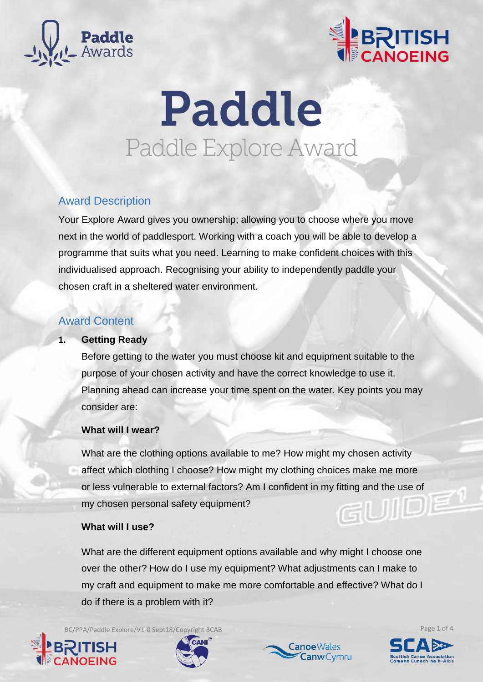



# Paddle Paddle Explore Award

# Award Description

Your Explore Award gives you ownership; allowing you to choose where you move next in the world of paddlesport. Working with a coach you will be able to develop a programme that suits what you need. Learning to make confident choices with this individualised approach. Recognising your ability to independently paddle your chosen craft in a sheltered water environment.

# Award Content

### **1. Getting Ready**

Before getting to the water you must choose kit and equipment suitable to the purpose of your chosen activity and have the correct knowledge to use it. Planning ahead can increase your time spent on the water. Key points you may consider are:

## **What will I wear?**

What are the clothing options available to me? How might my chosen activity affect which clothing I choose? How might my clothing choices make me more or less vulnerable to external factors? Am I confident in my fitting and the use of my chosen personal safety equipment?

### **What will I use?**

What are the different equipment options available and why might I choose one over the other? How do I use my equipment? What adjustments can I make to my craft and equipment to make me more comfortable and effective? What do I do if there is a problem with it?

BC/PPA/Paddle Explore/V1-0 Sept18/Copyright BCAB Page 1 of 4







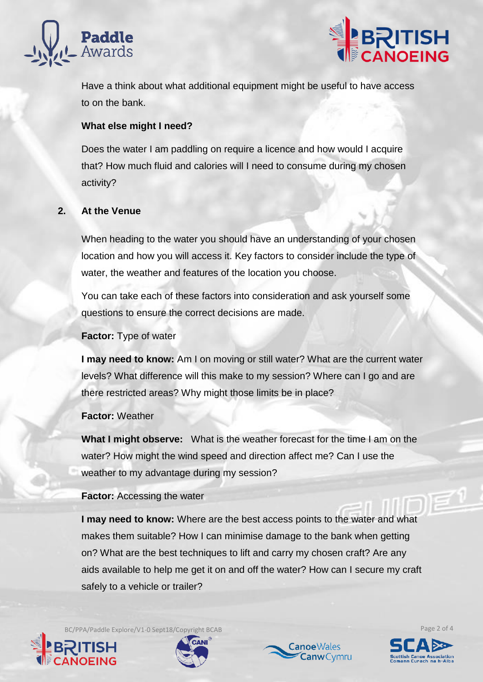



Have a think about what additional equipment might be useful to have access to on the bank.

## **What else might I need?**

Does the water I am paddling on require a licence and how would I acquire that? How much fluid and calories will I need to consume during my chosen activity?

# **2. At the Venue**

When heading to the water you should have an understanding of your chosen location and how you will access it. Key factors to consider include the type of water, the weather and features of the location you choose.

You can take each of these factors into consideration and ask yourself some questions to ensure the correct decisions are made.

**Factor:** Type of water

**I may need to know:** Am I on moving or still water? What are the current water levels? What difference will this make to my session? Where can I go and are there restricted areas? Why might those limits be in place?

### **Factor:** Weather

**What I might observe:** What is the weather forecast for the time I am on the water? How might the wind speed and direction affect me? Can I use the weather to my advantage during my session?

### **Factor:** Accessing the water

**I may need to know:** Where are the best access points to the water and what makes them suitable? How I can minimise damage to the bank when getting on? What are the best techniques to lift and carry my chosen craft? Are any aids available to help me get it on and off the water? How can I secure my craft safely to a vehicle or trailer?

BC/PPA/Paddle Explore/V1-0 Sept18/Copyright BCAB Page 2 of 4







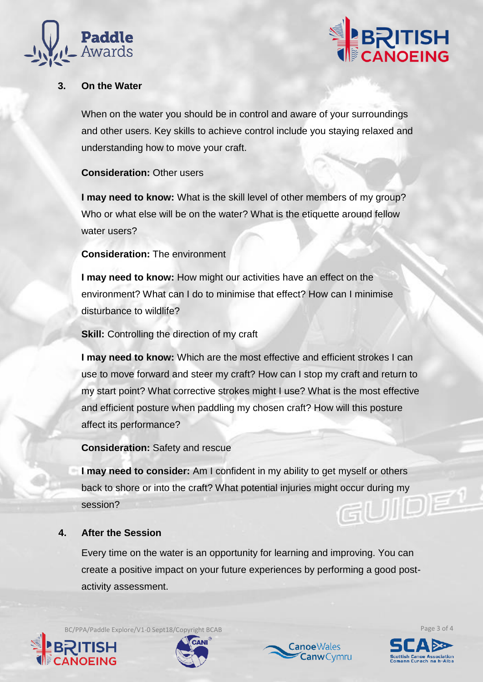



## **3. On the Water**

When on the water you should be in control and aware of your surroundings and other users. Key skills to achieve control include you staying relaxed and understanding how to move your craft.

#### **Consideration:** Other users

**I may need to know:** What is the skill level of other members of my group? Who or what else will be on the water? What is the etiquette around fellow water users?

#### **Consideration:** The environment

**I may need to know:** How might our activities have an effect on the environment? What can I do to minimise that effect? How can I minimise disturbance to wildlife?

**Skill:** Controlling the direction of my craft

**I may need to know:** Which are the most effective and efficient strokes I can use to move forward and steer my craft? How can I stop my craft and return to my start point? What corrective strokes might I use? What is the most effective and efficient posture when paddling my chosen craft? How will this posture affect its performance?

**Consideration:** Safety and rescue

**I may need to consider:** Am I confident in my ability to get myself or others back to shore or into the craft? What potential injuries might occur during my IIID session?

#### **4. After the Session**

Every time on the water is an opportunity for learning and improving. You can create a positive impact on your future experiences by performing a good postactivity assessment.

BC/PPA/Paddle Explore/V1-0 Sept18/Copyright BCAB Page 3 of 4